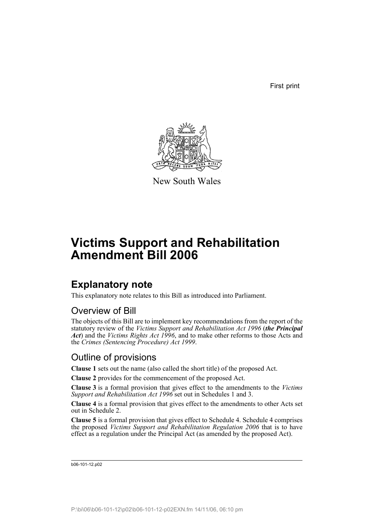First print



New South Wales

# **Victims Support and Rehabilitation Amendment Bill 2006**

# **Explanatory note**

This explanatory note relates to this Bill as introduced into Parliament.

# Overview of Bill

The objects of this Bill are to implement key recommendations from the report of the statutory review of the *Victims Support and Rehabilitation Act 1996* (*the Principal Act*) and the *Victims Rights Act 1996*, and to make other reforms to those Acts and the *Crimes (Sentencing Procedure) Act 1999*.

# Outline of provisions

**Clause 1** sets out the name (also called the short title) of the proposed Act.

**Clause 2** provides for the commencement of the proposed Act.

**Clause 3** is a formal provision that gives effect to the amendments to the *Victims Support and Rehabilitation Act 1996* set out in Schedules 1 and 3.

**Clause 4** is a formal provision that gives effect to the amendments to other Acts set out in Schedule 2.

**Clause 5** is a formal provision that gives effect to Schedule 4. Schedule 4 comprises the proposed *Victims Support and Rehabilitation Regulation 2006* that is to have effect as a regulation under the Principal Act (as amended by the proposed Act).

```
b06-101-12.p02
```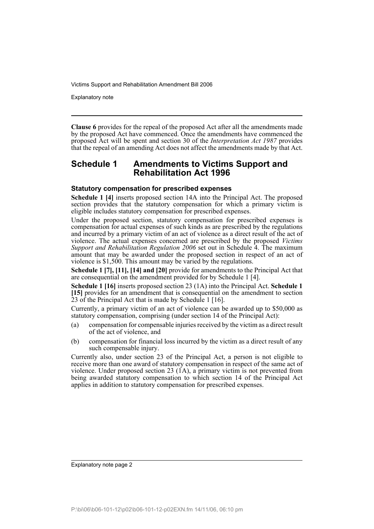Explanatory note

**Clause 6** provides for the repeal of the proposed Act after all the amendments made by the proposed Act have commenced. Once the amendments have commenced the proposed Act will be spent and section 30 of the *Interpretation Act 1987* provides that the repeal of an amending Act does not affect the amendments made by that Act.

# **Schedule 1 Amendments to Victims Support and Rehabilitation Act 1996**

### **Statutory compensation for prescribed expenses**

**Schedule 1 [4]** inserts proposed section 14A into the Principal Act. The proposed section provides that the statutory compensation for which a primary victim is eligible includes statutory compensation for prescribed expenses.

Under the proposed section, statutory compensation for prescribed expenses is compensation for actual expenses of such kinds as are prescribed by the regulations and incurred by a primary victim of an act of violence as a direct result of the act of violence. The actual expenses concerned are prescribed by the proposed *Victims Support and Rehabilitation Regulation 2006* set out in Schedule 4. The maximum amount that may be awarded under the proposed section in respect of an act of violence is \$1,500. This amount may be varied by the regulations.

**Schedule 1 [7], [11], [14] and [20]** provide for amendments to the Principal Act that are consequential on the amendment provided for by Schedule 1 [4].

**Schedule 1 [16]** inserts proposed section 23 (1A) into the Principal Act. **Schedule 1 [15]** provides for an amendment that is consequential on the amendment to section 23 of the Principal Act that is made by Schedule 1 [16].

Currently, a primary victim of an act of violence can be awarded up to \$50,000 as statutory compensation, comprising (under section 14 of the Principal Act):

- (a) compensation for compensable injuries received by the victim as a direct result of the act of violence, and
- (b) compensation for financial loss incurred by the victim as a direct result of any such compensable injury.

Currently also, under section 23 of the Principal Act, a person is not eligible to receive more than one award of statutory compensation in respect of the same act of violence. Under proposed section 23 (1A), a primary victim is not prevented from being awarded statutory compensation to which section 14 of the Principal Act applies in addition to statutory compensation for prescribed expenses.

Explanatory note page 2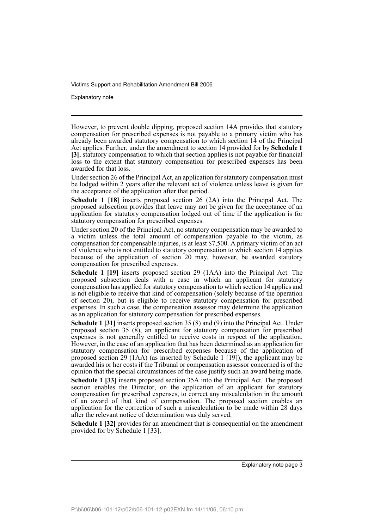Explanatory note

However, to prevent double dipping, proposed section 14A provides that statutory compensation for prescribed expenses is not payable to a primary victim who has already been awarded statutory compensation to which section 14 of the Principal Act applies. Further, under the amendment to section 14 provided for by **Schedule 1 [3]**, statutory compensation to which that section applies is not payable for financial loss to the extent that statutory compensation for prescribed expenses has been awarded for that loss.

Under section 26 of the Principal Act, an application for statutory compensation must be lodged within 2 years after the relevant act of violence unless leave is given for the acceptance of the application after that period.

**Schedule 1 [18]** inserts proposed section 26 (2A) into the Principal Act. The proposed subsection provides that leave may not be given for the acceptance of an application for statutory compensation lodged out of time if the application is for statutory compensation for prescribed expenses.

Under section 20 of the Principal Act, no statutory compensation may be awarded to a victim unless the total amount of compensation payable to the victim, as compensation for compensable injuries, is at least \$7,500. A primary victim of an act of violence who is not entitled to statutory compensation to which section 14 applies because of the application of section 20 may, however, be awarded statutory compensation for prescribed expenses.

**Schedule 1 [19]** inserts proposed section 29 (1AA) into the Principal Act. The proposed subsection deals with a case in which an applicant for statutory compensation has applied for statutory compensation to which section 14 applies and is not eligible to receive that kind of compensation (solely because of the operation of section 20), but is eligible to receive statutory compensation for prescribed expenses. In such a case, the compensation assessor may determine the application as an application for statutory compensation for prescribed expenses.

**Schedule 1 [31]** inserts proposed section 35 (8) and (9) into the Principal Act. Under proposed section 35  $(\hat{8})$ , an applicant for statutory compensation for prescribed expenses is not generally entitled to receive costs in respect of the application. However, in the case of an application that has been determined as an application for statutory compensation for prescribed expenses because of the application of proposed section 29 (1AA) (as inserted by Schedule 1 [19]), the applicant may be awarded his or her costs if the Tribunal or compensation assessor concerned is of the opinion that the special circumstances of the case justify such an award being made.

**Schedule 1 [33]** inserts proposed section 35A into the Principal Act. The proposed section enables the Director, on the application of an applicant for statutory compensation for prescribed expenses, to correct any miscalculation in the amount of an award of that kind of compensation. The proposed section enables an application for the correction of such a miscalculation to be made within 28 days after the relevant notice of determination was duly served.

**Schedule 1 [32]** provides for an amendment that is consequential on the amendment provided for by Schedule 1 [33].

Explanatory note page 3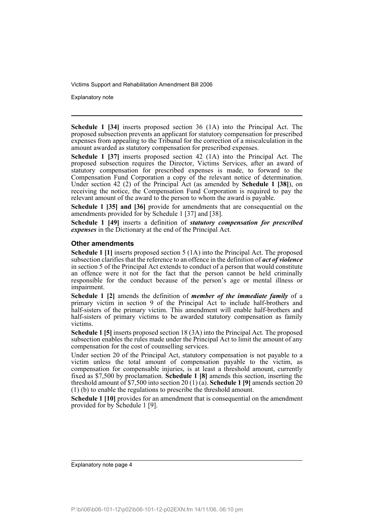Explanatory note

**Schedule 1 [34]** inserts proposed section 36 (1A) into the Principal Act. The proposed subsection prevents an applicant for statutory compensation for prescribed expenses from appealing to the Tribunal for the correction of a miscalculation in the amount awarded as statutory compensation for prescribed expenses.

**Schedule 1 [37]** inserts proposed section 42 (1A) into the Principal Act. The proposed subsection requires the Director, Victims Services, after an award of statutory compensation for prescribed expenses is made, to forward to the Compensation Fund Corporation a copy of the relevant notice of determination. Under section 42 (2) of the Principal Act (as amended by **Schedule 1 [38]**), on receiving the notice, the Compensation Fund Corporation is required to pay the relevant amount of the award to the person to whom the award is payable.

**Schedule 1 [35] and [36]** provide for amendments that are consequential on the amendments provided for by Schedule 1 [37] and [38].

**Schedule 1 [49]** inserts a definition of *statutory compensation for prescribed expenses* in the Dictionary at the end of the Principal Act.

#### **Other amendments**

**Schedule 1 [1]** inserts proposed section 5 (1A) into the Principal Act. The proposed subsection clarifies that the reference to an offence in the definition of *act of violence* in section 5 of the Principal Act extends to conduct of a person that would constitute an offence were it not for the fact that the person cannot be held criminally responsible for the conduct because of the person's age or mental illness or impairment.

**Schedule 1 [2]** amends the definition of *member of the immediate family* of a primary victim in section 9 of the Principal Act to include half-brothers and half-sisters of the primary victim. This amendment will enable half-brothers and half-sisters of primary victims to be awarded statutory compensation as family victims.

**Schedule 1 [5]** inserts proposed section 18 (3A) into the Principal Act. The proposed subsection enables the rules made under the Principal Act to limit the amount of any compensation for the cost of counselling services.

Under section 20 of the Principal Act, statutory compensation is not payable to a victim unless the total amount of compensation payable to the victim, as compensation for compensable injuries, is at least a threshold amount, currently fixed as \$7,500 by proclamation. **Schedule 1 [8]** amends this section, inserting the threshold amount of \$7,500 into section 20 (1) (a). **Schedule 1 [9]** amends section 20 (1) (b) to enable the regulations to prescribe the threshold amount.

**Schedule 1 [10]** provides for an amendment that is consequential on the amendment provided for by Schedule 1 [9].

Explanatory note page 4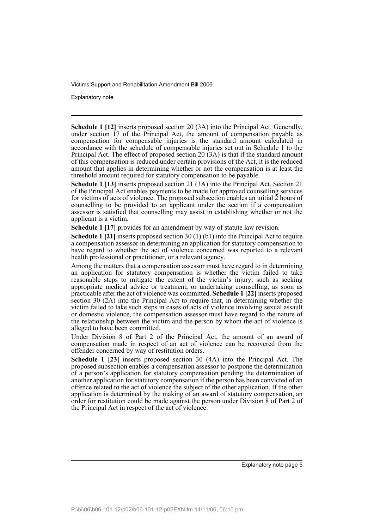Explanatory note

**Schedule 1 [12]** inserts proposed section 20 (3A) into the Principal Act. Generally, under section 17 of the Principal Act, the amount of compensation payable as compensation for compensable injuries is the standard amount calculated in accordance with the schedule of compensable injuries set out in Schedule 1 to the Principal Act. The effect of proposed section 20  $(A)$  is that if the standard amount of this compensation is reduced under certain provisions of the Act, it is the reduced amount that applies in determining whether or not the compensation is at least the threshold amount required for statutory compensation to be payable.

**Schedule 1 [13]** inserts proposed section 21 (3A) into the Principal Act. Section 21 of the Principal Act enables payments to be made for approved counselling services for victims of acts of violence. The proposed subsection enables an initial  $\bar{2}$  hours of counselling to be provided to an applicant under the section if a compensation assessor is satisfied that counselling may assist in establishing whether or not the applicant is a victim.

**Schedule 1 [17]** provides for an amendment by way of statute law revision.

**Schedule 1 [21]** inserts proposed section 30 (1) (b1) into the Principal Act to require a compensation assessor in determining an application for statutory compensation to have regard to whether the act of violence concerned was reported to a relevant health professional or practitioner, or a relevant agency.

Among the matters that a compensation assessor must have regard to in determining an application for statutory compensation is whether the victim failed to take reasonable steps to mitigate the extent of the victim's injury, such as seeking appropriate medical advice or treatment, or undertaking counselling, as soon as practicable after the act of violence was committed. **Schedule 1 [22]** inserts proposed section 30 (2A) into the Principal Act to require that, in determining whether the victim failed to take such steps in cases of acts of violence involving sexual assault or domestic violence, the compensation assessor must have regard to the nature of the relationship between the victim and the person by whom the act of violence is alleged to have been committed.

Under Division 8 of Part 2 of the Principal Act, the amount of an award of compensation made in respect of an act of violence can be recovered from the offender concerned by way of restitution orders.

**Schedule 1 [23]** inserts proposed section 30 (4A) into the Principal Act. The proposed subsection enables a compensation assessor to postpone the determination of a person's application for statutory compensation pending the determination of another application for statutory compensation if the person has been convicted of an offence related to the act of violence the subject of the other application. If the other application is determined by the making of an award of statutory compensation, an order for restitution could be made against the person under Division 8 of Part 2 of the Principal Act in respect of the act of violence.

Explanatory note page 5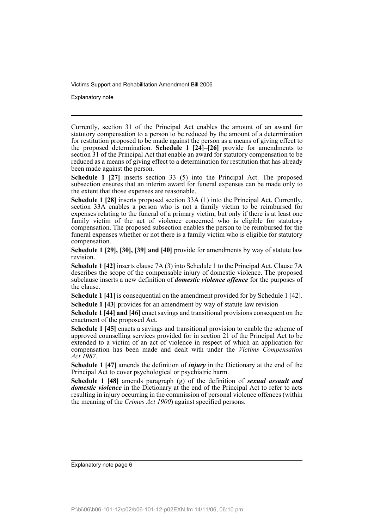Explanatory note

Currently, section 31 of the Principal Act enables the amount of an award for statutory compensation to a person to be reduced by the amount of a determination for restitution proposed to be made against the person as a means of giving effect to the proposed determination. **Schedule 1 [24]–[26]** provide for amendments to section 31 of the Principal Act that enable an award for statutory compensation to be reduced as a means of giving effect to a determination for restitution that has already been made against the person.

**Schedule 1 [27]** inserts section 33 (5) into the Principal Act. The proposed subsection ensures that an interim award for funeral expenses can be made only to the extent that those expenses are reasonable.

**Schedule 1 [28]** inserts proposed section 33A (1) into the Principal Act. Currently, section 33A enables a person who is not a family victim to be reimbursed for expenses relating to the funeral of a primary victim, but only if there is at least one family victim of the act of violence concerned who is eligible for statutory compensation. The proposed subsection enables the person to be reimbursed for the funeral expenses whether or not there is a family victim who is eligible for statutory compensation.

**Schedule 1 [29], [30], [39] and [40]** provide for amendments by way of statute law revision.

**Schedule 1 [42]** inserts clause 7A (3) into Schedule 1 to the Principal Act. Clause 7A describes the scope of the compensable injury of domestic violence. The proposed subclause inserts a new definition of *domestic violence offence* for the purposes of the clause.

**Schedule 1 [41]** is consequential on the amendment provided for by Schedule 1 [42].

**Schedule 1 [43]** provides for an amendment by way of statute law revision

**Schedule 1 [44] and [46]** enact savings and transitional provisions consequent on the enactment of the proposed Act.

**Schedule 1 [45]** enacts a savings and transitional provision to enable the scheme of approved counselling services provided for in section 21 of the Principal Act to be extended to a victim of an act of violence in respect of which an application for compensation has been made and dealt with under the *Victims Compensation Act 1987*.

**Schedule 1 [47]** amends the definition of *injury* in the Dictionary at the end of the Principal Act to cover psychological or psychiatric harm.

**Schedule 1 [48]** amends paragraph (g) of the definition of *sexual assault and domestic violence* in the Dictionary at the end of the Principal Act to refer to acts resulting in injury occurring in the commission of personal violence offences (within the meaning of the *Crimes Act 1900*) against specified persons.

Explanatory note page 6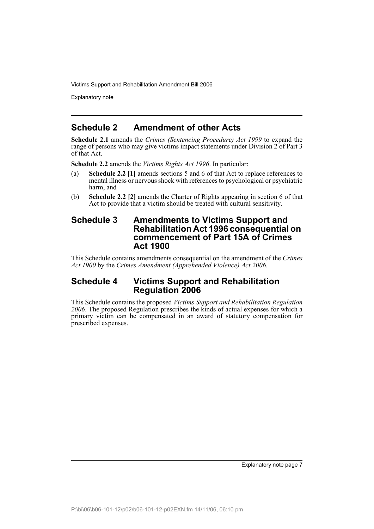Explanatory note

# **Schedule 2 Amendment of other Acts**

**Schedule 2.1** amends the *Crimes (Sentencing Procedure) Act 1999* to expand the range of persons who may give victims impact statements under Division 2 of Part 3 of that Act.

**Schedule 2.2** amends the *Victims Rights Act 1996*. In particular:

- (a) **Schedule 2.2 [1]** amends sections 5 and 6 of that Act to replace references to mental illness or nervous shock with references to psychological or psychiatric harm, and
- (b) **Schedule 2.2 [2]** amends the Charter of Rights appearing in section 6 of that Act to provide that a victim should be treated with cultural sensitivity.

## **Schedule 3 Amendments to Victims Support and Rehabilitation Act 1996 consequential on commencement of Part 15A of Crimes Act 1900**

This Schedule contains amendments consequential on the amendment of the *Crimes Act 1900* by the *Crimes Amendment (Apprehended Violence) Act 2006*.

## **Schedule 4 Victims Support and Rehabilitation Regulation 2006**

This Schedule contains the proposed *Victims Support and Rehabilitation Regulation 2006*. The proposed Regulation prescribes the kinds of actual expenses for which a primary victim can be compensated in an award of statutory compensation for prescribed expenses.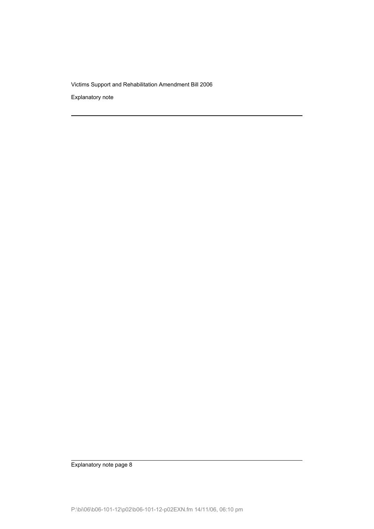Explanatory note

Explanatory note page 8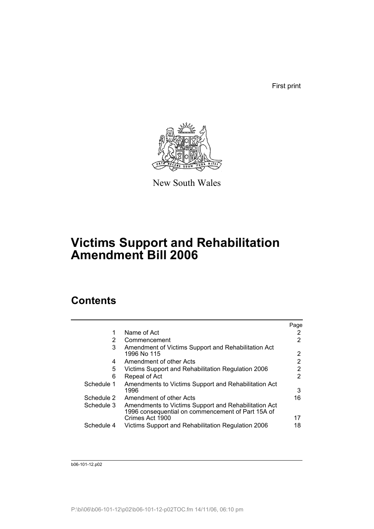First print



New South Wales

# **Victims Support and Rehabilitation Amendment Bill 2006**

# **Contents**

|            |                                                                                                           | Page |
|------------|-----------------------------------------------------------------------------------------------------------|------|
| 1          | Name of Act                                                                                               | 2    |
| 2          | Commencement                                                                                              | 2    |
| 3          | Amendment of Victims Support and Rehabilitation Act<br>1996 No 115                                        | 2    |
| 4          | Amendment of other Acts                                                                                   | 2    |
| 5          | Victims Support and Rehabilitation Regulation 2006                                                        | 2    |
| 6          | Repeal of Act                                                                                             | 2    |
| Schedule 1 | Amendments to Victims Support and Rehabilitation Act<br>1996                                              | 3    |
| Schedule 2 | Amendment of other Acts                                                                                   | 16   |
| Schedule 3 | Amendments to Victims Support and Rehabilitation Act<br>1996 consequential on commencement of Part 15A of |      |
|            | Crimes Act 1900                                                                                           | 17   |
| Schedule 4 | Victims Support and Rehabilitation Regulation 2006                                                        | 18   |

b06-101-12.p02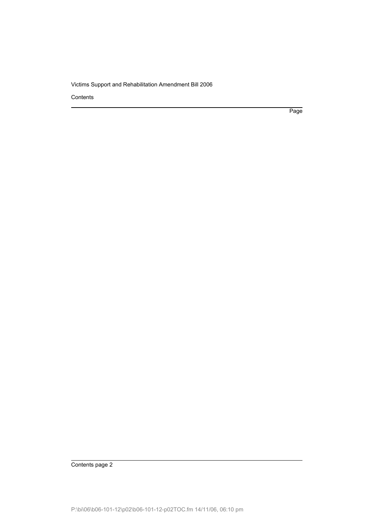Contents

Page

Contents page 2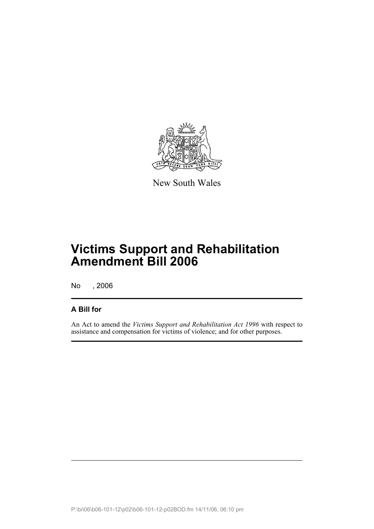

New South Wales

# **Victims Support and Rehabilitation Amendment Bill 2006**

No , 2006

# **A Bill for**

An Act to amend the *Victims Support and Rehabilitation Act 1996* with respect to assistance and compensation for victims of violence; and for other purposes.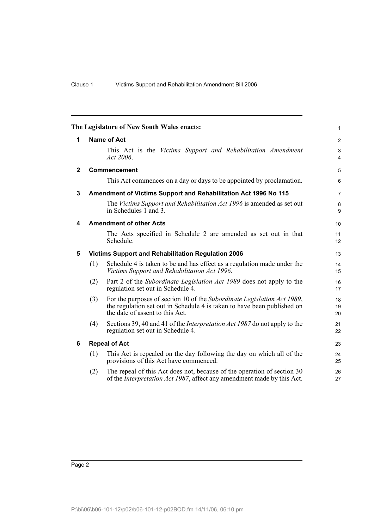<span id="page-11-5"></span><span id="page-11-4"></span><span id="page-11-3"></span><span id="page-11-2"></span><span id="page-11-1"></span><span id="page-11-0"></span>

|              |                                | The Legislature of New South Wales enacts:                                                                                                                                            | $\mathbf{1}$   |
|--------------|--------------------------------|---------------------------------------------------------------------------------------------------------------------------------------------------------------------------------------|----------------|
| 1            | <b>Name of Act</b>             |                                                                                                                                                                                       | $\overline{2}$ |
|              | Act $2006$ .                   | This Act is the Victims Support and Rehabilitation Amendment                                                                                                                          | 3<br>4         |
| $\mathbf{2}$ | <b>Commencement</b>            |                                                                                                                                                                                       | 5              |
|              |                                | This Act commences on a day or days to be appointed by proclamation.                                                                                                                  | 6              |
| 3            |                                | Amendment of Victims Support and Rehabilitation Act 1996 No 115                                                                                                                       | $\overline{7}$ |
|              | in Schedules 1 and 3.          | The Victims Support and Rehabilitation Act 1996 is amended as set out                                                                                                                 | 8<br>9         |
| 4            | <b>Amendment of other Acts</b> |                                                                                                                                                                                       | 10             |
|              | Schedule.                      | The Acts specified in Schedule 2 are amended as set out in that                                                                                                                       | 11<br>12       |
| 5            |                                | Victims Support and Rehabilitation Regulation 2006                                                                                                                                    | 13             |
|              | (1)                            | Schedule 4 is taken to be and has effect as a regulation made under the<br>Victims Support and Rehabilitation Act 1996.                                                               | 14<br>15       |
|              | (2)                            | Part 2 of the Subordinate Legislation Act 1989 does not apply to the<br>regulation set out in Schedule 4.                                                                             | 16<br>17       |
|              | (3)                            | For the purposes of section 10 of the Subordinate Legislation Act 1989,<br>the regulation set out in Schedule 4 is taken to have been published on<br>the date of assent to this Act. | 18<br>19<br>20 |
|              | (4)                            | Sections 39, 40 and 41 of the <i>Interpretation Act 1987</i> do not apply to the<br>regulation set out in Schedule 4.                                                                 | 21<br>22       |
| 6            | <b>Repeal of Act</b>           |                                                                                                                                                                                       | 23             |
|              | (1)                            | This Act is repealed on the day following the day on which all of the<br>provisions of this Act have commenced.                                                                       | 24<br>25       |
|              | (2)                            | The repeal of this Act does not, because of the operation of section 30<br>of the <i>Interpretation Act 1987</i> , affect any amendment made by this Act.                             | 26<br>27       |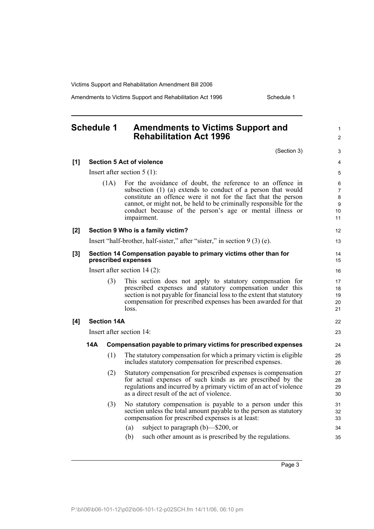Amendments to Victims Support and Rehabilitation Act 1996 Schedule 1

1  $\mathfrak{p}$ 

# <span id="page-12-0"></span>**Schedule 1 Amendments to Victims Support and Rehabilitation Act 1996**

(Section 3) **[1] Section 5 Act of violence** Insert after section 5 (1): (1A) For the avoidance of doubt, the reference to an offence in subsection (1) (a) extends to conduct of a person that would constitute an offence were it not for the fact that the person cannot, or might not, be held to be criminally responsible for the conduct because of the person's age or mental illness or impairment. **[2] Section 9 Who is a family victim?** Insert "half-brother, half-sister," after "sister," in section 9 (3) (e). **[3] Section 14 Compensation payable to primary victims other than for prescribed expenses** Insert after section 14 (2): (3) This section does not apply to statutory compensation for prescribed expenses and statutory compensation under this section is not payable for financial loss to the extent that statutory compensation for prescribed expenses has been awarded for that loss. **[4] Section 14A** Insert after section 14: **14A Compensation payable to primary victims for prescribed expenses** (1) The statutory compensation for which a primary victim is eligible includes statutory compensation for prescribed expenses. (2) Statutory compensation for prescribed expenses is compensation for actual expenses of such kinds as are prescribed by the regulations and incurred by a primary victim of an act of violence as a direct result of the act of violence. (3) No statutory compensation is payable to a person under this section unless the total amount payable to the person as statutory compensation for prescribed expenses is at least: (a) subject to paragraph (b)—\$200, or (b) such other amount as is prescribed by the regulations. 3 4 5 6 7 8 9 10 11 12 13 14 15 16 17 18 19 20 21  $22$ 23 24 25 26 27 28 29 30 31 32 33 34 35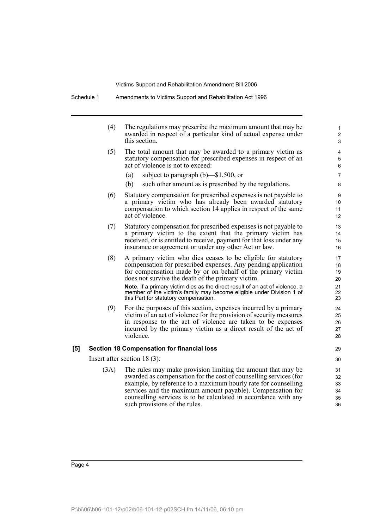(4) The regulations may prescribe the maximum amount that may be awarded in respect of a particular kind of actual expense under this section.

- (5) The total amount that may be awarded to a primary victim as statutory compensation for prescribed expenses in respect of an act of violence is not to exceed:
	- (a) subject to paragraph (b)—\$1,500, or
	- (b) such other amount as is prescribed by the regulations.
- (6) Statutory compensation for prescribed expenses is not payable to a primary victim who has already been awarded statutory compensation to which section 14 applies in respect of the same act of violence.
- (7) Statutory compensation for prescribed expenses is not payable to a primary victim to the extent that the primary victim has received, or is entitled to receive, payment for that loss under any insurance or agreement or under any other Act or law.
- (8) A primary victim who dies ceases to be eligible for statutory compensation for prescribed expenses. Any pending application for compensation made by or on behalf of the primary victim does not survive the death of the primary victim.

**Note.** If a primary victim dies as the direct result of an act of violence, a member of the victim's family may become eligible under Division 1 of this Part for statutory compensation.

(9) For the purposes of this section, expenses incurred by a primary victim of an act of violence for the provision of security measures in response to the act of violence are taken to be expenses incurred by the primary victim as a direct result of the act of violence.

#### **[5] Section 18 Compensation for financial loss**

Insert after section 18 (3):

(3A) The rules may make provision limiting the amount that may be awarded as compensation for the cost of counselling services (for example, by reference to a maximum hourly rate for counselling services and the maximum amount payable). Compensation for counselling services is to be calculated in accordance with any such provisions of the rules.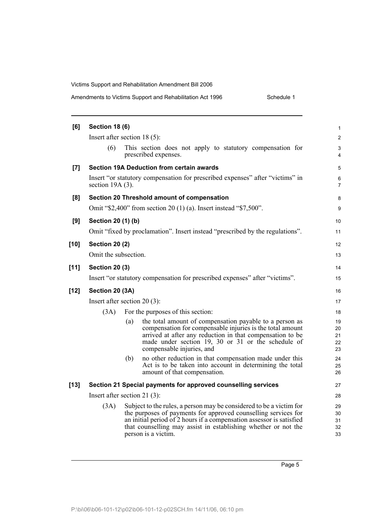|  |  | Amendments to Victims Support and Rehabilitation Act 1996 | Schedule 1 |
|--|--|-----------------------------------------------------------|------------|
|--|--|-----------------------------------------------------------|------------|

| [6]    | <b>Section 18 (6)</b>           |     |                                                                                                                                                                                                                                                                                                        | $\mathbf{1}$               |
|--------|---------------------------------|-----|--------------------------------------------------------------------------------------------------------------------------------------------------------------------------------------------------------------------------------------------------------------------------------------------------------|----------------------------|
|        | Insert after section $18(5)$ :  |     |                                                                                                                                                                                                                                                                                                        | $\mathbf{2}$               |
|        | (6)                             |     | This section does not apply to statutory compensation for<br>prescribed expenses.                                                                                                                                                                                                                      | 3<br>$\overline{4}$        |
| $[7]$  |                                 |     | <b>Section 19A Deduction from certain awards</b>                                                                                                                                                                                                                                                       | 5                          |
|        | section $19A(3)$ .              |     | Insert "or statutory compensation for prescribed expenses" after "victims" in                                                                                                                                                                                                                          | 6<br>7                     |
| [8]    |                                 |     | Section 20 Threshold amount of compensation                                                                                                                                                                                                                                                            | 8                          |
|        |                                 |     | Omit "\$2,400" from section 20 (1) (a). Insert instead "\$7,500".                                                                                                                                                                                                                                      | 9                          |
| [9]    | Section 20 (1) (b)              |     |                                                                                                                                                                                                                                                                                                        | 10                         |
|        |                                 |     | Omit "fixed by proclamation". Insert instead "prescribed by the regulations".                                                                                                                                                                                                                          | 11                         |
| [10]   | <b>Section 20 (2)</b>           |     |                                                                                                                                                                                                                                                                                                        | 12                         |
|        | Omit the subsection.            |     |                                                                                                                                                                                                                                                                                                        | 13                         |
| [11]   | <b>Section 20 (3)</b>           |     |                                                                                                                                                                                                                                                                                                        | 14                         |
|        |                                 |     | Insert "or statutory compensation for prescribed expenses" after "victims".                                                                                                                                                                                                                            | 15                         |
| [12]   | Section 20 (3A)                 |     |                                                                                                                                                                                                                                                                                                        | 16                         |
|        | Insert after section $20(3)$ :  |     |                                                                                                                                                                                                                                                                                                        | 17                         |
|        | (3A)                            |     | For the purposes of this section:                                                                                                                                                                                                                                                                      | 18                         |
|        |                                 | (a) | the total amount of compensation payable to a person as<br>compensation for compensable injuries is the total amount<br>arrived at after any reduction in that compensation to be<br>made under section 19, 30 or 31 or the schedule of<br>compensable injuries, and                                   | 19<br>20<br>21<br>22<br>23 |
|        |                                 | (b) | no other reduction in that compensation made under this<br>Act is to be taken into account in determining the total<br>amount of that compensation.                                                                                                                                                    | 24<br>25<br>26             |
| $[13]$ |                                 |     | Section 21 Special payments for approved counselling services                                                                                                                                                                                                                                          | 27                         |
|        | Insert after section 21 $(3)$ : |     |                                                                                                                                                                                                                                                                                                        | 28                         |
|        | (3A)                            |     | Subject to the rules, a person may be considered to be a victim for<br>the purposes of payments for approved counselling services for<br>an initial period of 2 hours if a compensation assessor is satisfied<br>that counselling may assist in establishing whether or not the<br>person is a victim. | 29<br>30<br>31<br>32<br>33 |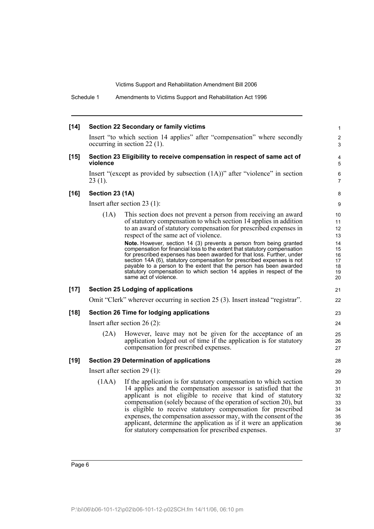| $[14]$ |                 | <b>Section 22 Secondary or family victims</b>                                                                                                                                                                                                                                                                                                                                                                                                                                                                                                                                                                                                                                                                                 | 1                                                                             |
|--------|-----------------|-------------------------------------------------------------------------------------------------------------------------------------------------------------------------------------------------------------------------------------------------------------------------------------------------------------------------------------------------------------------------------------------------------------------------------------------------------------------------------------------------------------------------------------------------------------------------------------------------------------------------------------------------------------------------------------------------------------------------------|-------------------------------------------------------------------------------|
|        |                 | Insert "to which section 14 applies" after "compensation" where secondly<br>occurring in section $22(1)$ .                                                                                                                                                                                                                                                                                                                                                                                                                                                                                                                                                                                                                    | $\sqrt{2}$<br>3                                                               |
| $[15]$ | violence        | Section 23 Eligibility to receive compensation in respect of same act of                                                                                                                                                                                                                                                                                                                                                                                                                                                                                                                                                                                                                                                      | 4<br>5                                                                        |
|        | $23(1)$ .       | Insert "(except as provided by subsection $(1A)$ )" after "violence" in section                                                                                                                                                                                                                                                                                                                                                                                                                                                                                                                                                                                                                                               | 6<br>$\overline{7}$                                                           |
| $[16]$ | Section 23 (1A) |                                                                                                                                                                                                                                                                                                                                                                                                                                                                                                                                                                                                                                                                                                                               | 8                                                                             |
|        |                 | Insert after section 23 $(1)$ :                                                                                                                                                                                                                                                                                                                                                                                                                                                                                                                                                                                                                                                                                               | 9                                                                             |
|        | (1A)            | This section does not prevent a person from receiving an award<br>of statutory compensation to which section 14 applies in addition<br>to an award of statutory compensation for prescribed expenses in<br>respect of the same act of violence.<br>Note. However, section 14 (3) prevents a person from being granted<br>compensation for financial loss to the extent that statutory compensation<br>for prescribed expenses has been awarded for that loss. Further, under<br>section 14A (6), statutory compensation for prescribed expenses is not<br>payable to a person to the extent that the person has been awarded<br>statutory compensation to which section 14 applies in respect of the<br>same act of violence. | 10<br>11<br>$12 \overline{ }$<br>13<br>14<br>15<br>16<br>17<br>18<br>19<br>20 |
| $[17]$ |                 | <b>Section 25 Lodging of applications</b>                                                                                                                                                                                                                                                                                                                                                                                                                                                                                                                                                                                                                                                                                     | 21                                                                            |
|        |                 | Omit "Clerk" wherever occurring in section 25 (3). Insert instead "registrar".                                                                                                                                                                                                                                                                                                                                                                                                                                                                                                                                                                                                                                                | 22                                                                            |
| $[18]$ |                 | Section 26 Time for lodging applications                                                                                                                                                                                                                                                                                                                                                                                                                                                                                                                                                                                                                                                                                      | 23                                                                            |
|        |                 | Insert after section $26(2)$ :                                                                                                                                                                                                                                                                                                                                                                                                                                                                                                                                                                                                                                                                                                | 24                                                                            |
|        | (2A)            | However, leave may not be given for the acceptance of an<br>application lodged out of time if the application is for statutory<br>compensation for prescribed expenses.                                                                                                                                                                                                                                                                                                                                                                                                                                                                                                                                                       | 25<br>26<br>27                                                                |
| $[19]$ |                 | <b>Section 29 Determination of applications</b>                                                                                                                                                                                                                                                                                                                                                                                                                                                                                                                                                                                                                                                                               | 28                                                                            |
|        |                 | Insert after section $29(1)$ :                                                                                                                                                                                                                                                                                                                                                                                                                                                                                                                                                                                                                                                                                                | 29                                                                            |
|        | (1AA)           | If the application is for statutory compensation to which section<br>14 applies and the compensation assessor is satisfied that the<br>applicant is not eligible to receive that kind of statutory<br>compensation (solely because of the operation of section 20), but<br>is eligible to receive statutory compensation for prescribed<br>expenses, the compensation assessor may, with the consent of the<br>applicant, determine the application as if it were an application<br>for statutory compensation for prescribed expenses.                                                                                                                                                                                       | 30<br>31<br>32<br>33<br>34<br>35<br>36<br>37                                  |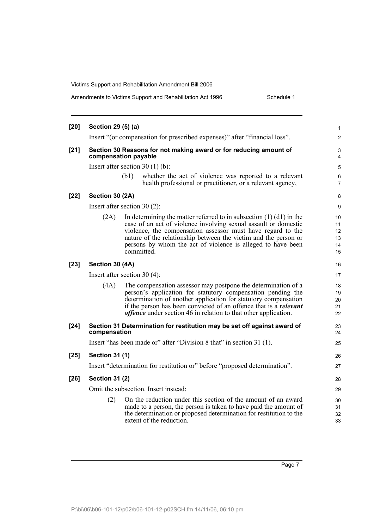|  | Amendments to Victims Support and Rehabilitation Act 1996 |  |  |  | Schedule 1 |
|--|-----------------------------------------------------------|--|--|--|------------|
|--|-----------------------------------------------------------|--|--|--|------------|

| $[20]$ | Section 29 (5) (a)    |                                                                                                                                                                                                                                                                                                                                                          | $\mathbf{1}$                     |
|--------|-----------------------|----------------------------------------------------------------------------------------------------------------------------------------------------------------------------------------------------------------------------------------------------------------------------------------------------------------------------------------------------------|----------------------------------|
|        |                       | Insert "(or compensation for prescribed expenses)" after "financial loss".                                                                                                                                                                                                                                                                               | $\overline{2}$                   |
| $[21]$ |                       | Section 30 Reasons for not making award or for reducing amount of<br>compensation payable                                                                                                                                                                                                                                                                | 3<br>4                           |
|        |                       | Insert after section $30(1)(b)$ :                                                                                                                                                                                                                                                                                                                        | 5                                |
|        |                       | (b1)<br>whether the act of violence was reported to a relevant<br>health professional or practitioner, or a relevant agency,                                                                                                                                                                                                                             | 6<br>7                           |
| $[22]$ | Section 30 (2A)       |                                                                                                                                                                                                                                                                                                                                                          | 8                                |
|        |                       | Insert after section $30(2)$ :                                                                                                                                                                                                                                                                                                                           | 9                                |
|        | (2A)                  | In determining the matter referred to in subsection $(1)$ $(d)$ in the<br>case of an act of violence involving sexual assault or domestic<br>violence, the compensation assessor must have regard to the<br>nature of the relationship between the victim and the person or<br>persons by whom the act of violence is alleged to have been<br>committed. | 10<br>11<br>12<br>13<br>14<br>15 |
| $[23]$ | Section 30 (4A)       |                                                                                                                                                                                                                                                                                                                                                          | 16                               |
|        |                       | Insert after section 30 $(4)$ :                                                                                                                                                                                                                                                                                                                          | 17                               |
|        | (4A)                  | The compensation assessor may postpone the determination of a<br>person's application for statutory compensation pending the<br>determination of another application for statutory compensation<br>if the person has been convicted of an offence that is a <b>relevant</b><br><i>offence</i> under section 46 in relation to that other application.    | 18<br>19<br>20<br>21<br>22       |
| $[24]$ | compensation          | Section 31 Determination for restitution may be set off against award of                                                                                                                                                                                                                                                                                 | 23<br>24                         |
|        |                       | Insert "has been made or" after "Division 8 that" in section 31 (1).                                                                                                                                                                                                                                                                                     | 25                               |
| $[25]$ | <b>Section 31 (1)</b> |                                                                                                                                                                                                                                                                                                                                                          | 26                               |
|        |                       | Insert "determination for restitution or" before "proposed determination".                                                                                                                                                                                                                                                                               | 27                               |
| $[26]$ | <b>Section 31 (2)</b> |                                                                                                                                                                                                                                                                                                                                                          | 28                               |
|        |                       | Omit the subsection. Insert instead:                                                                                                                                                                                                                                                                                                                     | 29                               |
|        | (2)                   | On the reduction under this section of the amount of an award<br>made to a person, the person is taken to have paid the amount of<br>the determination or proposed determination for restitution to the<br>extent of the reduction.                                                                                                                      | 30<br>31<br>32<br>33             |
|        |                       |                                                                                                                                                                                                                                                                                                                                                          |                                  |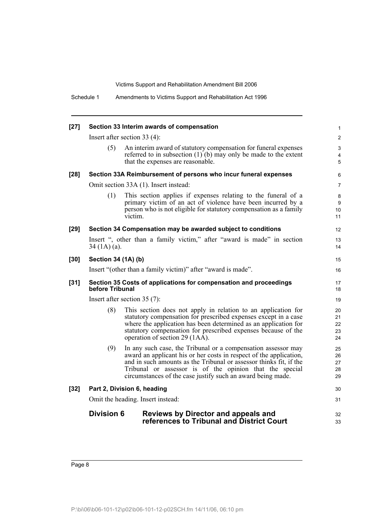Schedule 1 Amendments to Victims Support and Rehabilitation Act 1996

| $[27]$ |                            | Section 33 Interim awards of compensation                                                                                                                                                                                                                                                                                           | $\mathbf{1}$               |
|--------|----------------------------|-------------------------------------------------------------------------------------------------------------------------------------------------------------------------------------------------------------------------------------------------------------------------------------------------------------------------------------|----------------------------|
|        |                            | Insert after section $33(4)$ :                                                                                                                                                                                                                                                                                                      | $\overline{2}$             |
|        | (5)                        | An interim award of statutory compensation for funeral expenses<br>referred to in subsection $(1)$ (b) may only be made to the extent<br>that the expenses are reasonable.                                                                                                                                                          | 3<br>4<br>5                |
| $[28]$ |                            | Section 33A Reimbursement of persons who incur funeral expenses                                                                                                                                                                                                                                                                     | 6                          |
|        |                            | Omit section 33A (1). Insert instead:                                                                                                                                                                                                                                                                                               | 7                          |
|        | (1)                        | This section applies if expenses relating to the funeral of a<br>primary victim of an act of violence have been incurred by a<br>person who is not eligible for statutory compensation as a family<br>victim.                                                                                                                       | 8<br>9<br>10<br>11         |
| $[29]$ |                            | Section 34 Compensation may be awarded subject to conditions                                                                                                                                                                                                                                                                        | 12                         |
|        | $34 (1A)(a)$ .             | Insert ", other than a family victim," after "award is made" in section                                                                                                                                                                                                                                                             | 13<br>14                   |
| $[30]$ | <b>Section 34 (1A) (b)</b> |                                                                                                                                                                                                                                                                                                                                     | 15                         |
|        |                            | Insert "(other than a family victim)" after "award is made".                                                                                                                                                                                                                                                                        | 16                         |
| $[31]$ | before Tribunal            | Section 35 Costs of applications for compensation and proceedings                                                                                                                                                                                                                                                                   | 17<br>18                   |
|        |                            | Insert after section $35(7)$ :                                                                                                                                                                                                                                                                                                      | 19                         |
|        | (8)                        | This section does not apply in relation to an application for<br>statutory compensation for prescribed expenses except in a case<br>where the application has been determined as an application for<br>statutory compensation for prescribed expenses because of the<br>operation of section 29 (1AA).                              | 20<br>21<br>22<br>23<br>24 |
|        | (9)                        | In any such case, the Tribunal or a compensation assessor may<br>award an applicant his or her costs in respect of the application,<br>and in such amounts as the Tribunal or assessor thinks fit, if the<br>Tribunal or assessor is of the opinion that the special<br>circumstances of the case justify such an award being made. | 25<br>26<br>27<br>28<br>29 |
| $[32]$ |                            | Part 2, Division 6, heading                                                                                                                                                                                                                                                                                                         | 30                         |
|        |                            | Omit the heading. Insert instead:                                                                                                                                                                                                                                                                                                   | 31                         |
|        | <b>Division 6</b>          | <b>Reviews by Director and appeals and</b><br>references to Tribunal and District Court                                                                                                                                                                                                                                             | 32<br>33                   |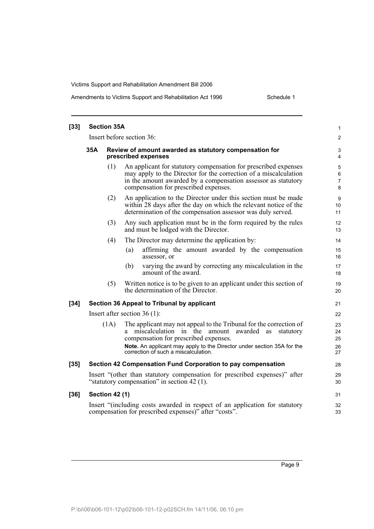| $[33]$ |                                            | <b>Section 35A</b>    |                                                                                                                                                                                                                                                                                             | 1                          |  |
|--------|--------------------------------------------|-----------------------|---------------------------------------------------------------------------------------------------------------------------------------------------------------------------------------------------------------------------------------------------------------------------------------------|----------------------------|--|
|        |                                            |                       | Insert before section 36:                                                                                                                                                                                                                                                                   | $\overline{2}$             |  |
|        | 35A                                        |                       | Review of amount awarded as statutory compensation for<br>prescribed expenses                                                                                                                                                                                                               | 3<br>4                     |  |
|        |                                            | (1)                   | An applicant for statutory compensation for prescribed expenses<br>may apply to the Director for the correction of a miscalculation<br>in the amount awarded by a compensation assessor as statutory<br>compensation for prescribed expenses.                                               | 5<br>6<br>7<br>8           |  |
|        |                                            | (2)                   | An application to the Director under this section must be made<br>within 28 days after the day on which the relevant notice of the<br>determination of the compensation assessor was duly served.                                                                                           | 9<br>10<br>11              |  |
|        |                                            | (3)                   | Any such application must be in the form required by the rules<br>and must be lodged with the Director.                                                                                                                                                                                     | 12<br>13                   |  |
|        |                                            | (4)                   | The Director may determine the application by:                                                                                                                                                                                                                                              | 14                         |  |
|        |                                            |                       | affirming the amount awarded by the compensation<br>(a)<br>assessor, or                                                                                                                                                                                                                     | 15<br>16                   |  |
|        |                                            |                       | (b)<br>varying the award by correcting any miscalculation in the<br>amount of the award.                                                                                                                                                                                                    | 17<br>18                   |  |
|        |                                            | (5)                   | Written notice is to be given to an applicant under this section of<br>the determination of the Director.                                                                                                                                                                                   | 19<br>20                   |  |
| $[34]$ | Section 36 Appeal to Tribunal by applicant |                       |                                                                                                                                                                                                                                                                                             |                            |  |
|        | Insert after section $36(1)$ :             |                       |                                                                                                                                                                                                                                                                                             |                            |  |
|        |                                            | (1A)                  | The applicant may not appeal to the Tribunal for the correction of<br>miscalculation in the amount awarded as<br>a.<br>statutory<br>compensation for prescribed expenses.<br>Note. An applicant may apply to the Director under section 35A for the<br>correction of such a miscalculation. | 23<br>24<br>25<br>26<br>27 |  |
| $[35]$ |                                            |                       | Section 42 Compensation Fund Corporation to pay compensation                                                                                                                                                                                                                                | 28                         |  |
|        |                                            |                       | Insert "(other than statutory compensation for prescribed expenses)" after<br>"statutory compensation" in section 42 (1).                                                                                                                                                                   | 29<br>30                   |  |
| $[36]$ |                                            | <b>Section 42 (1)</b> |                                                                                                                                                                                                                                                                                             | 31                         |  |
|        |                                            |                       | Insert "(including costs awarded in respect of an application for statutory<br>compensation for prescribed expenses)" after "costs".                                                                                                                                                        | 32<br>33                   |  |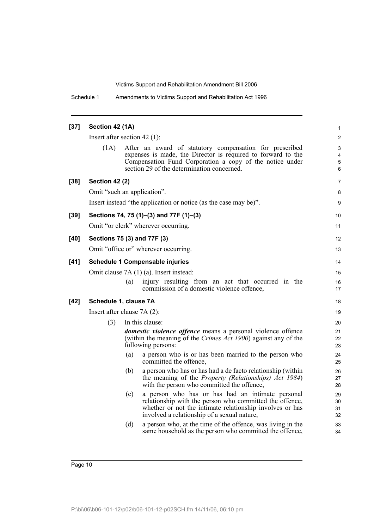Schedule 1 Amendments to Victims Support and Rehabilitation Act 1996

| $[37]$ | Section 42 (1A)                |                                                                                                                                                                                                                                   | 1                    |
|--------|--------------------------------|-----------------------------------------------------------------------------------------------------------------------------------------------------------------------------------------------------------------------------------|----------------------|
|        | Insert after section $42$ (1): |                                                                                                                                                                                                                                   | $\overline{2}$       |
|        | (1A)                           | After an award of statutory compensation for prescribed<br>expenses is made, the Director is required to forward to the<br>Compensation Fund Corporation a copy of the notice under<br>section 29 of the determination concerned. | 3<br>4<br>5<br>6     |
| $[38]$ | <b>Section 42 (2)</b>          |                                                                                                                                                                                                                                   | 7                    |
|        | Omit "such an application".    |                                                                                                                                                                                                                                   | 8                    |
|        |                                | Insert instead "the application or notice (as the case may be)".                                                                                                                                                                  | 9                    |
| $[39]$ |                                | Sections 74, 75 (1)–(3) and 77F (1)–(3)                                                                                                                                                                                           | 10                   |
|        |                                | Omit "or clerk" wherever occurring.                                                                                                                                                                                               | 11                   |
| [40]   |                                | Sections 75 (3) and 77F (3)                                                                                                                                                                                                       | 12                   |
|        |                                | Omit "office or" wherever occurring.                                                                                                                                                                                              | 13                   |
| $[41]$ |                                | Schedule 1 Compensable injuries                                                                                                                                                                                                   | 14                   |
|        |                                | Omit clause 7A (1) (a). Insert instead:                                                                                                                                                                                           | 15                   |
|        |                                | injury resulting from an act that occurred in the<br>(a)<br>commission of a domestic violence offence,                                                                                                                            | 16<br>17             |
| $[42]$ | Schedule 1, clause 7A          |                                                                                                                                                                                                                                   | 18                   |
|        | Insert after clause $7A(2)$ :  |                                                                                                                                                                                                                                   | 19                   |
|        | (3)                            | In this clause:                                                                                                                                                                                                                   | 20                   |
|        |                                | domestic violence offence means a personal violence offence<br>(within the meaning of the <i>Crimes Act 1900</i> ) against any of the<br>following persons:                                                                       | 21<br>22<br>23       |
|        |                                | (a)<br>a person who is or has been married to the person who<br>committed the offence,                                                                                                                                            | 24<br>25             |
|        |                                | a person who has or has had a de facto relationship (within<br>(b)<br>the meaning of the Property (Relationships) Act 1984)<br>with the person who committed the offence,                                                         | 26<br>27<br>28       |
|        |                                | a person who has or has had an intimate personal<br>(c)<br>relationship with the person who committed the offence,<br>whether or not the intimate relationship involves or has<br>involved a relationship of a sexual nature,     | 29<br>30<br>31<br>32 |
|        |                                | a person who, at the time of the offence, was living in the<br>(d)<br>same household as the person who committed the offence,                                                                                                     | 33<br>34             |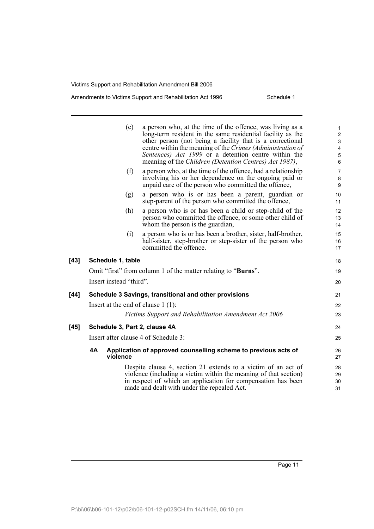[43]

 $[45]$ 

### Amendments to Victims Support and Rehabilitation Act 1996 Schedule 1

|        |    | (e)                     | a person who, at the time of the offence, was living as a<br>long-term resident in the same residential facility as the<br>other person (not being a facility that is a correctional<br>centre within the meaning of the Crimes (Administration of<br>Sentences) Act 1999 or a detention centre within the<br>meaning of the Children (Detention Centres) Act 1987), | $\mathbf{1}$<br>$\overline{2}$<br>$\mathbf{3}$<br>$\overline{\mathbf{4}}$<br>$\overline{5}$<br>6 |
|--------|----|-------------------------|----------------------------------------------------------------------------------------------------------------------------------------------------------------------------------------------------------------------------------------------------------------------------------------------------------------------------------------------------------------------|--------------------------------------------------------------------------------------------------|
|        |    | (f)                     | a person who, at the time of the offence, had a relationship<br>involving his or her dependence on the ongoing paid or<br>unpaid care of the person who committed the offence,                                                                                                                                                                                       | $\overline{7}$<br>8<br>9                                                                         |
|        |    | (g)                     | a person who is or has been a parent, guardian or<br>step-parent of the person who committed the offence,                                                                                                                                                                                                                                                            | 10<br>11                                                                                         |
|        |    | (h)                     | a person who is or has been a child or step-child of the<br>person who committed the offence, or some other child of<br>whom the person is the guardian,                                                                                                                                                                                                             | 12<br>13<br>14                                                                                   |
|        |    | (i)                     | a person who is or has been a brother, sister, half-brother,<br>half-sister, step-brother or step-sister of the person who<br>committed the offence.                                                                                                                                                                                                                 | 15<br>16<br>17                                                                                   |
| [43]   |    | Schedule 1, table       |                                                                                                                                                                                                                                                                                                                                                                      | 18                                                                                               |
|        |    |                         | Omit "first" from column 1 of the matter relating to " <b>Burns</b> ".                                                                                                                                                                                                                                                                                               | 19                                                                                               |
|        |    | Insert instead "third". |                                                                                                                                                                                                                                                                                                                                                                      | 20                                                                                               |
| [44]   |    |                         | Schedule 3 Savings, transitional and other provisions                                                                                                                                                                                                                                                                                                                | 21                                                                                               |
|        |    |                         | Insert at the end of clause $1(1)$ :                                                                                                                                                                                                                                                                                                                                 | 22                                                                                               |
|        |    |                         | Victims Support and Rehabilitation Amendment Act 2006                                                                                                                                                                                                                                                                                                                | 23                                                                                               |
| $[45]$ |    |                         | Schedule 3, Part 2, clause 4A                                                                                                                                                                                                                                                                                                                                        | 24                                                                                               |
|        |    |                         | Insert after clause 4 of Schedule 3:                                                                                                                                                                                                                                                                                                                                 | 25                                                                                               |
|        | 4A | violence                | Application of approved counselling scheme to previous acts of                                                                                                                                                                                                                                                                                                       | 26<br>27                                                                                         |
|        |    |                         | Despite clause 4, section 21 extends to a victim of an act of<br>violence (including a victim within the meaning of that section)<br>in respect of which an application for compensation has been<br>made and dealt with under the repealed Act.                                                                                                                     | 28<br>29<br>30<br>31                                                                             |
|        |    |                         |                                                                                                                                                                                                                                                                                                                                                                      |                                                                                                  |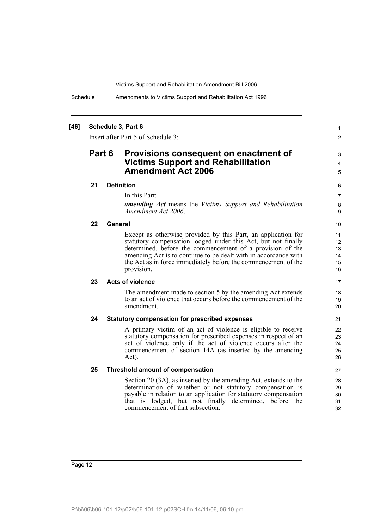Schedule 1 Amendments to Victims Support and Rehabilitation Act 1996

### **[46] Schedule 3, Part 6**

Insert after Part 5 of Schedule 3:

## **Part 6 Provisions consequent on enactment of Victims Support and Rehabilitation Amendment Act 2006**

#### **21 Definition**

In this Part:

*amending Act* means the *Victims Support and Rehabilitation Amendment Act 2006*.

1  $\mathfrak{p}$ 

3 4 5

#### **22 General**

Except as otherwise provided by this Part, an application for statutory compensation lodged under this Act, but not finally determined, before the commencement of a provision of the amending Act is to continue to be dealt with in accordance with the Act as in force immediately before the commencement of the provision.

#### **23 Acts of violence**

The amendment made to section 5 by the amending Act extends to an act of violence that occurs before the commencement of the amendment.

#### **24 Statutory compensation for prescribed expenses**

A primary victim of an act of violence is eligible to receive statutory compensation for prescribed expenses in respect of an act of violence only if the act of violence occurs after the commencement of section 14A (as inserted by the amending Act).

#### **25 Threshold amount of compensation**

Section 20 (3A), as inserted by the amending Act, extends to the determination of whether or not statutory compensation is payable in relation to an application for statutory compensation that is lodged, but not finally determined, before the commencement of that subsection.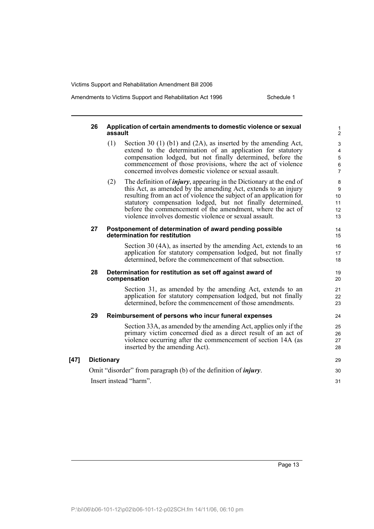#### **26 Application of certain amendments to domestic violence or sexual assault** (1) Section 30 (1) (b1) and (2A), as inserted by the amending Act, extend to the determination of an application for statutory compensation lodged, but not finally determined, before the commencement of those provisions, where the act of violence concerned involves domestic violence or sexual assault. (2) The definition of *injury*, appearing in the Dictionary at the end of this Act, as amended by the amending Act, extends to an injury resulting from an act of violence the subject of an application for statutory compensation lodged, but not finally determined, before the commencement of the amendment, where the act of violence involves domestic violence or sexual assault. **27 Postponement of determination of award pending possible determination for restitution** Section 30 (4A), as inserted by the amending Act, extends to an application for statutory compensation lodged, but not finally determined, before the commencement of that subsection. **28 Determination for restitution as set off against award of compensation** Section 31, as amended by the amending Act, extends to an application for statutory compensation lodged, but not finally determined, before the commencement of those amendments. **29 Reimbursement of persons who incur funeral expenses** Section 33A, as amended by the amending Act, applies only if the primary victim concerned died as a direct result of an act of violence occurring after the commencement of section 14A (as inserted by the amending Act). **[47] Dictionary** Omit "disorder" from paragraph (b) of the definition of *injury*. Insert instead "harm". 1 2 3 4 5 6 7 8  $\overline{Q}$ 10 11 12 13 14 15 16 17 18 19 20 21 22 23 24 25 26 27 28 29 30 31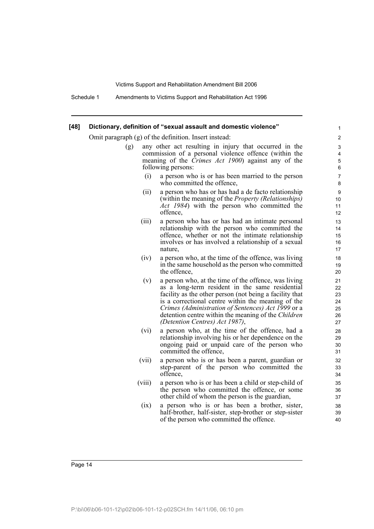Schedule 1 Amendments to Victims Support and Rehabilitation Act 1996

#### **[48] Dictionary, definition of "sexual assault and domestic violence"**

Omit paragraph (g) of the definition. Insert instead:

- (g) any other act resulting in injury that occurred in the commission of a personal violence offence (within the meaning of the *Crimes Act 1900*) against any of the following persons:
	- (i) a person who is or has been married to the person who committed the offence,

- (ii) a person who has or has had a de facto relationship (within the meaning of the *Property (Relationships) Act 1984*) with the person who committed the offence,
- (iii) a person who has or has had an intimate personal relationship with the person who committed the offence, whether or not the intimate relationship involves or has involved a relationship of a sexual nature,
- (iv) a person who, at the time of the offence, was living in the same household as the person who committed the offence,
- (v) a person who, at the time of the offence, was living as a long-term resident in the same residential facility as the other person (not being a facility that is a correctional centre within the meaning of the *Crimes (Administration of Sentences) Act 1999* or a detention centre within the meaning of the *Children (Detention Centres) Act 1987)*,
- (vi) a person who, at the time of the offence, had a relationship involving his or her dependence on the ongoing paid or unpaid care of the person who committed the offence,
- (vii) a person who is or has been a parent, guardian or step-parent of the person who committed the offence,
- (viii) a person who is or has been a child or step-child of the person who committed the offence, or some other child of whom the person is the guardian,
	- (ix) a person who is or has been a brother, sister, half-brother, half-sister, step-brother or step-sister of the person who committed the offence.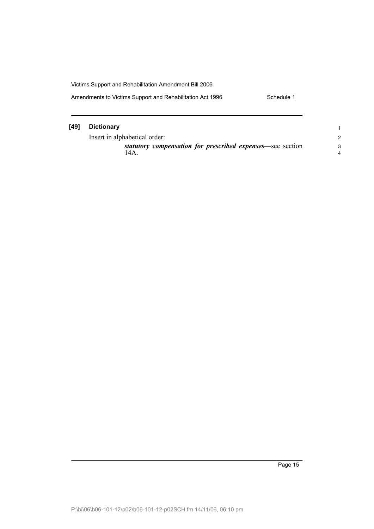| Amendments to Victims Support and Rehabilitation Act 1996 |  | Schedule 1 |
|-----------------------------------------------------------|--|------------|
|-----------------------------------------------------------|--|------------|

#### **[49] Dictionary** Insert in alphabetical order: *statutory compensation for prescribed expenses*—see section 14A. 1 2 3 4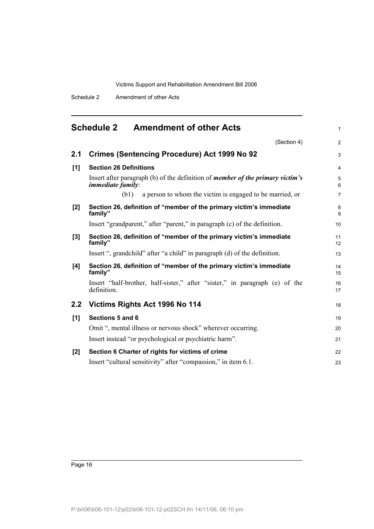Schedule 2 Amendment of other Acts

<span id="page-25-0"></span>

| <b>Schedule 2</b><br><b>Amendment of other Acts</b> |                                                                                                                   | $\mathbf{1}$        |
|-----------------------------------------------------|-------------------------------------------------------------------------------------------------------------------|---------------------|
|                                                     | (Section 4)                                                                                                       | $\overline{2}$      |
| 2.1                                                 | Crimes (Sentencing Procedure) Act 1999 No 92                                                                      | 3                   |
| [1]                                                 | <b>Section 26 Definitions</b>                                                                                     | $\overline{4}$      |
|                                                     | Insert after paragraph (b) of the definition of <i>member of the primary victim's</i><br><i>immediate family:</i> | 5<br>$6\phantom{1}$ |
|                                                     | (b1)<br>a person to whom the victim is engaged to be married, or                                                  | $\overline{7}$      |
| [2]                                                 | Section 26, definition of "member of the primary victim's immediate<br>family"                                    | 8<br>9              |
|                                                     | Insert "grandparent," after "parent," in paragraph (c) of the definition.                                         | 10                  |
| [3]                                                 | Section 26, definition of "member of the primary victim's immediate<br>family"                                    | 11<br>12            |
|                                                     | Insert ", grandchild" after "a child" in paragraph (d) of the definition.                                         | 13                  |
| [4]                                                 | Section 26, definition of "member of the primary victim's immediate<br>family"                                    | 14<br>15            |
|                                                     | Insert "half-brother, half-sister," after "sister," in paragraph (e) of the<br>definition.                        | 16<br>17            |
| 2.2                                                 | Victims Rights Act 1996 No 114                                                                                    | 18                  |
| [1]                                                 | Sections 5 and 6                                                                                                  | 19                  |
|                                                     | Omit ", mental illness or nervous shock" wherever occurring.                                                      | 20                  |
|                                                     | Insert instead "or psychological or psychiatric harm".                                                            | 21                  |
| [2]                                                 | Section 6 Charter of rights for victims of crime                                                                  | 22                  |
|                                                     | Insert "cultural sensitivity" after "compassion," in item 6.1.                                                    | 23                  |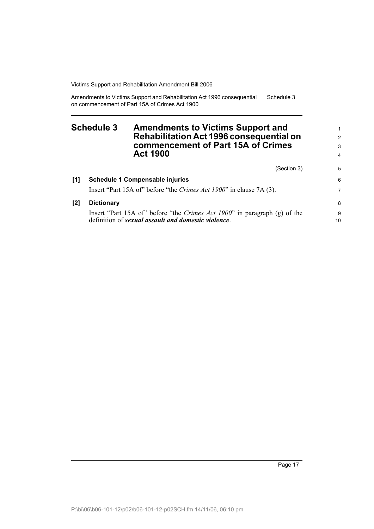Amendments to Victims Support and Rehabilitation Act 1996 consequential on commencement of Part 15A of Crimes Act 1900 Schedule 3

# <span id="page-26-0"></span>**Schedule 3 Amendments to Victims Support and Rehabilitation Act 1996 consequential on commencement of Part 15A of Crimes Act 1900**

(Section 3) **[1] Schedule 1 Compensable injuries** Insert "Part 15A of" before "the *Crimes Act 1900*" in clause 7A (3). **[2] Dictionary** Insert "Part 15A of" before "the *Crimes Act 1900*" in paragraph (g) of the definition of *sexual assault and domestic violence*. 5 6 7 8 9 10

### Page 17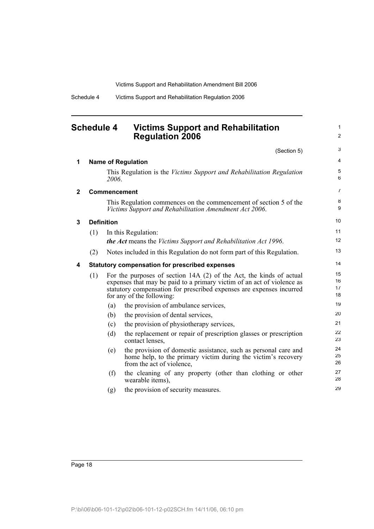# <span id="page-27-0"></span>**Schedule 4 Victims Support and Rehabilitation Regulation 2006**

(Section 5) **1 Name of Regulation** This Regulation is the *Victims Support and Rehabilitation Regulation 2006*. **2 Commencement** This Regulation commences on the commencement of section 5 of the *Victims Support and Rehabilitation Amendment Act 2006*. **3 Definition** (1) In this Regulation: *the Act* means the *Victims Support and Rehabilitation Act 1996*. (2) Notes included in this Regulation do not form part of this Regulation. **4 Statutory compensation for prescribed expenses** (1) For the purposes of section 14A (2) of the Act, the kinds of actual expenses that may be paid to a primary victim of an act of violence as statutory compensation for prescribed expenses are expenses incurred for any of the following: (a) the provision of ambulance services, (b) the provision of dental services, (c) the provision of physiotherapy services, (d) the replacement or repair of prescription glasses or prescription contact lenses, (e) the provision of domestic assistance, such as personal care and home help, to the primary victim during the victim's recovery from the act of violence, (f) the cleaning of any property (other than clothing or other wearable items), 2 3 4 5 6 7 8 9 10 11 12 13 14 15 16 17 18 19 20 21 22 23  $24$ 25 26 27 28 29

1

(g) the provision of security measures.